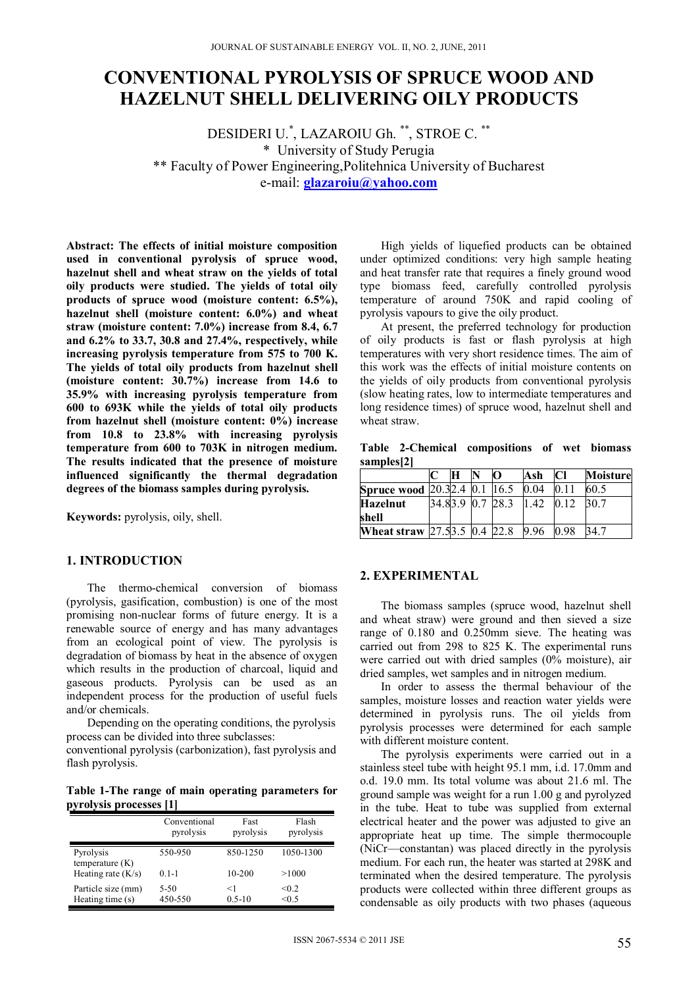# **CONVENTIONAL PYROLYSIS OF SPRUCE WOOD AND HAZELNUT SHELL DELIVERING OILY PRODUCTS**

DESIDERI U.\* , LAZAROIU Gh. \*\*, STROE C. \*\* \* University of Study Perugia \*\* Faculty of Power Engineering,Politehnica University of Bucharest e-mail: **glazaroiu@yahoo.com**

**Abstract: The effects of initial moisture composition used in conventional pyrolysis of spruce wood, hazelnut shell and wheat straw on the yields of total oily products were studied. The yields of total oily products of spruce wood (moisture content: 6.5%), hazelnut shell (moisture content: 6.0%) and wheat straw (moisture content: 7.0%) increase from 8.4, 6.7 and 6.2% to 33.7, 30.8 and 27.4%, respectively, while increasing pyrolysis temperature from 575 to 700 K. The yields of total oily products from hazelnut shell (moisture content: 30.7%) increase from 14.6 to 35.9% with increasing pyrolysis temperature from 600 to 693K while the yields of total oily products from hazelnut shell (moisture content: 0%) increase from 10.8 to 23.8% with increasing pyrolysis temperature from 600 to 703K in nitrogen medium. The results indicated that the presence of moisture influenced significantly the thermal degradation degrees of the biomass samples during pyrolysis.** 

**Keywords:** pyrolysis, oily, shell.

## **1. INTRODUCTION**

The thermo-chemical conversion of biomass (pyrolysis, gasification, combustion) is one of the most promising non-nuclear forms of future energy. It is a renewable source of energy and has many advantages from an ecological point of view. The pyrolysis is degradation of biomass by heat in the absence of oxygen which results in the production of charcoal, liquid and gaseous products. Pyrolysis can be used as an independent process for the production of useful fuels and/or chemicals.

Depending on the operating conditions, the pyrolysis process can be divided into three subclasses:

conventional pyrolysis (carbonization), fast pyrolysis and flash pyrolysis.

**Table 1-The range of main operating parameters for pyrolysis processes [1]** 

| . .                                    |                           |                     |                    |  |
|----------------------------------------|---------------------------|---------------------|--------------------|--|
|                                        | Conventional<br>pyrolysis | Fast<br>pyrolysis   | Flash<br>pyrolysis |  |
| Pyrolysis<br>temperature $(K)$         | 550-950                   | 850-1250            | 1050-1300          |  |
| Heating rate $(K/s)$                   | $0.1 - 1$                 | $10 - 200$          | >1000              |  |
| Particle size (mm)<br>Heating time (s) | 5-50<br>450-550           | $<$ 1<br>$0.5 - 10$ | < 0.2<br>< 0.5     |  |

High yields of liquefied products can be obtained under optimized conditions: very high sample heating and heat transfer rate that requires a finely ground wood type biomass feed, carefully controlled pyrolysis temperature of around 750K and rapid cooling of pyrolysis vapours to give the oily product.

At present, the preferred technology for production of oily products is fast or flash pyrolysis at high temperatures with very short residence times. The aim of this work was the effects of initial moisture contents on the yields of oily products from conventional pyrolysis (slow heating rates, low to intermediate temperatures and long residence times) of spruce wood, hazelnut shell and wheat straw.

**Table 2-Chemical compositions of wet biomass samples[2]** 

|                                                                    | H | NT | n                     | Ash | CI   | <b>Moisture</b> |
|--------------------------------------------------------------------|---|----|-----------------------|-----|------|-----------------|
| <b>Spruce wood</b> 20.32.4 $\overline{0.1}$ 16.5 $\overline{0.04}$ |   |    |                       |     |      | 60.5            |
| <b>Hazelnut</b>                                                    |   |    | 34.83.9 0.7 28.3 1.42 |     | 0.12 | 30 7            |
| shell                                                              |   |    |                       |     |      |                 |
| <b>Wheat straw</b> 27.5 3.5 0.4 22.8 9.96 0.98                     |   |    |                       |     |      |                 |

### **2. EXPERIMENTAL**

The biomass samples (spruce wood, hazelnut shell and wheat straw) were ground and then sieved a size range of 0.180 and 0.250mm sieve. The heating was carried out from 298 to 825 K. The experimental runs were carried out with dried samples (0% moisture), air dried samples, wet samples and in nitrogen medium.

In order to assess the thermal behaviour of the samples, moisture losses and reaction water yields were determined in pyrolysis runs. The oil yields from pyrolysis processes were determined for each sample with different moisture content.

The pyrolysis experiments were carried out in a stainless steel tube with height 95.1 mm, i.d. 17.0mm and o.d. 19.0 mm. Its total volume was about 21.6 ml. The ground sample was weight for a run 1.00 g and pyrolyzed in the tube. Heat to tube was supplied from external electrical heater and the power was adjusted to give an appropriate heat up time. The simple thermocouple (NiCr—constantan) was placed directly in the pyrolysis medium. For each run, the heater was started at 298K and terminated when the desired temperature. The pyrolysis products were collected within three different groups as condensable as oily products with two phases (aqueous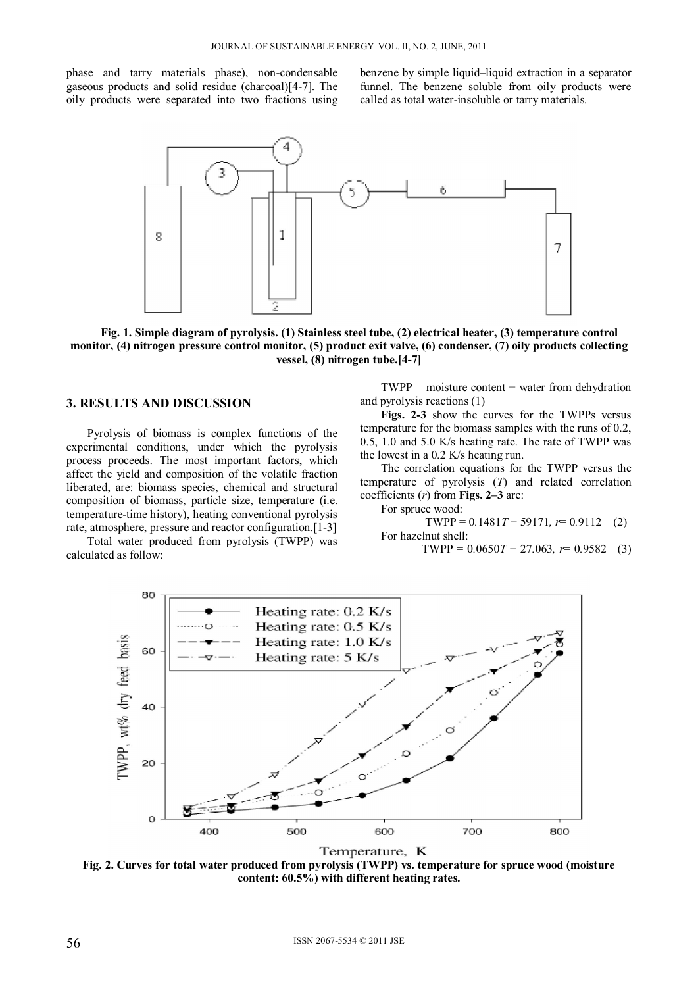phase and tarry materials phase), non-condensable gaseous products and solid residue (charcoal)[4-7]. The oily products were separated into two fractions using benzene by simple liquid–liquid extraction in a separator funnel. The benzene soluble from oily products were called as total water-insoluble or tarry materials.



**Fig. 1. Simple diagram of pyrolysis. (1) Stainless steel tube, (2) electrical heater, (3) temperature control monitor, (4) nitrogen pressure control monitor, (5) product exit valve, (6) condenser, (7) oily products collecting vessel, (8) nitrogen tube.[4-7]** 

#### **3. RESULTS AND DISCUSSION**

Pyrolysis of biomass is complex functions of the experimental conditions, under which the pyrolysis process proceeds. The most important factors, which affect the yield and composition of the volatile fraction liberated, are: biomass species, chemical and structural composition of biomass, particle size, temperature (i.e. temperature-time history), heating conventional pyrolysis rate, atmosphere, pressure and reactor configuration.[1-3]

Total water produced from pyrolysis (TWPP) was calculated as follow:

 $TWPP = \text{moisture content} - \text{water from dehydroation}$ and pyrolysis reactions (1)

**Figs. 2-3** show the curves for the TWPPs versus temperature for the biomass samples with the runs of 0.2, 0.5, 1.0 and 5.0 K/s heating rate. The rate of TWPP was the lowest in a 0.2 K/s heating run.

The correlation equations for the TWPP versus the temperature of pyrolysis (*T*) and related correlation coefficients (*r*) from **Figs. 2–3** are:

For spruce wood:

TWPP = 0.1481T - 59171, 
$$
r
$$
= 0.9112 (2)  
For hazardthmthm.

TWPP = 0*.*0650*T* − 27*.*063*, r*= 0*.*9582 (3)



Temperature, K

**Fig. 2. Curves for total water produced from pyrolysis (TWPP) vs. temperature for spruce wood (moisture content: 60.5%) with different heating rates.**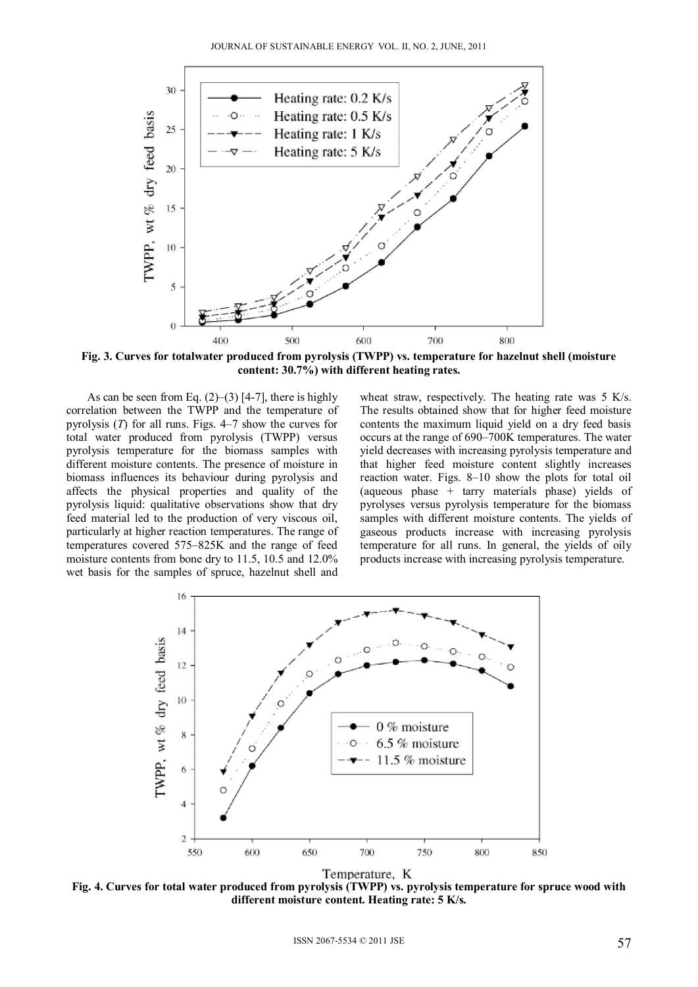

**Fig. 3. Curves for totalwater produced from pyrolysis (TWPP) vs. temperature for hazelnut shell (moisture content: 30.7%) with different heating rates.** 

As can be seen from Eq.  $(2)$ – $(3)$  [4-7], there is highly correlation between the TWPP and the temperature of pyrolysis (*T*) for all runs. Figs. 4–7 show the curves for total water produced from pyrolysis (TWPP) versus pyrolysis temperature for the biomass samples with different moisture contents. The presence of moisture in biomass influences its behaviour during pyrolysis and affects the physical properties and quality of the pyrolysis liquid: qualitative observations show that dry feed material led to the production of very viscous oil, particularly at higher reaction temperatures. The range of temperatures covered 575–825K and the range of feed moisture contents from bone dry to 11.5, 10.5 and 12.0% wet basis for the samples of spruce, hazelnut shell and wheat straw, respectively. The heating rate was 5 K/s. The results obtained show that for higher feed moisture contents the maximum liquid yield on a dry feed basis occurs at the range of 690–700K temperatures. The water yield decreases with increasing pyrolysis temperature and that higher feed moisture content slightly increases reaction water. Figs. 8–10 show the plots for total oil (aqueous phase + tarry materials phase) yields of pyrolyses versus pyrolysis temperature for the biomass samples with different moisture contents. The yields of gaseous products increase with increasing pyrolysis temperature for all runs. In general, the yields of oily products increase with increasing pyrolysis temperature.



**Fig. 4. Curves for total water produced from pyrolysis (TWPP) vs. pyrolysis temperature for spruce wood with different moisture content. Heating rate: 5 K/s.**